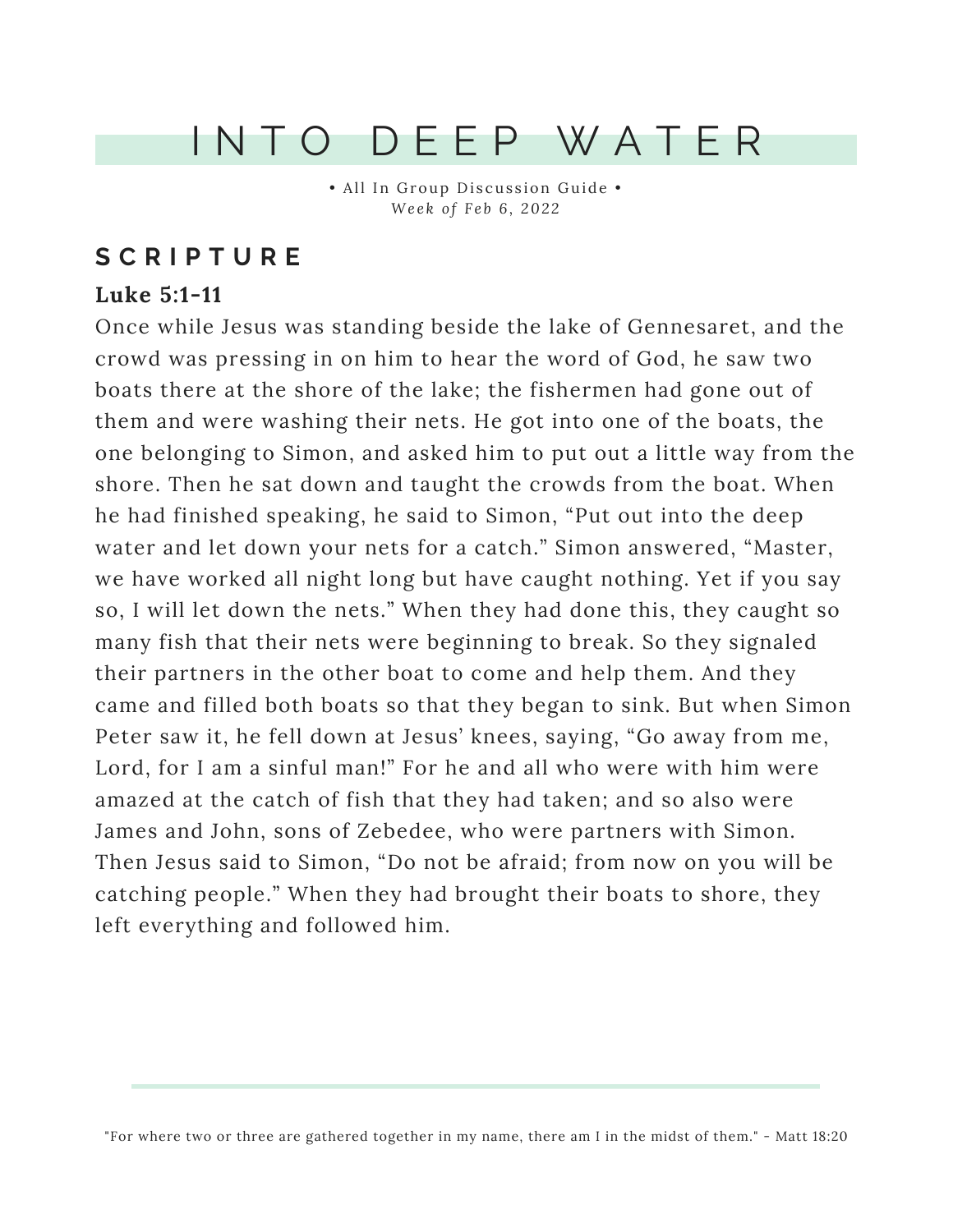## I N T O D E E P W A T E R

• All In Group Discussion Guide • *We e k o f F e b 6 , 202 2*

### **S C R I P T U R E**

#### **Luke 5:1-11**

Once while Jesus was standing beside the lake of Gennesaret, and the crowd was pressing in on him to hear the word of God, he saw two boats there at the shore of the lake; the fishermen had gone out of them and were washing their nets. He got into one of the boats, the one belonging to Simon, and asked him to put out a little way from the shore. Then he sat down and taught the crowds from the boat. When he had finished speaking, he said to Simon, "Put out into the deep water and let down your nets for a catch." Simon answered, "Master, we have worked all night long but have caught nothing. Yet if you say so, I will let down the nets." When they had done this, they caught so many fish that their nets were beginning to break. So they signaled their partners in the other boat to come and help them. And they came and filled both boats so that they began to sink. But when Simon Peter saw it, he fell down at Jesus' knees, saying, "Go away from me, Lord, for I am a sinful man!" For he and all who were with him were amazed at the catch of fish that they had taken; and so also were James and John, sons of Zebedee, who were partners with Simon. Then Jesus said to Simon, "Do not be afraid; from now on you will be catching people." When they had brought their boats to shore, they left everything and followed him.

"For where two or three are gathered together in my name, there am I in the midst of them." - Matt 18:20